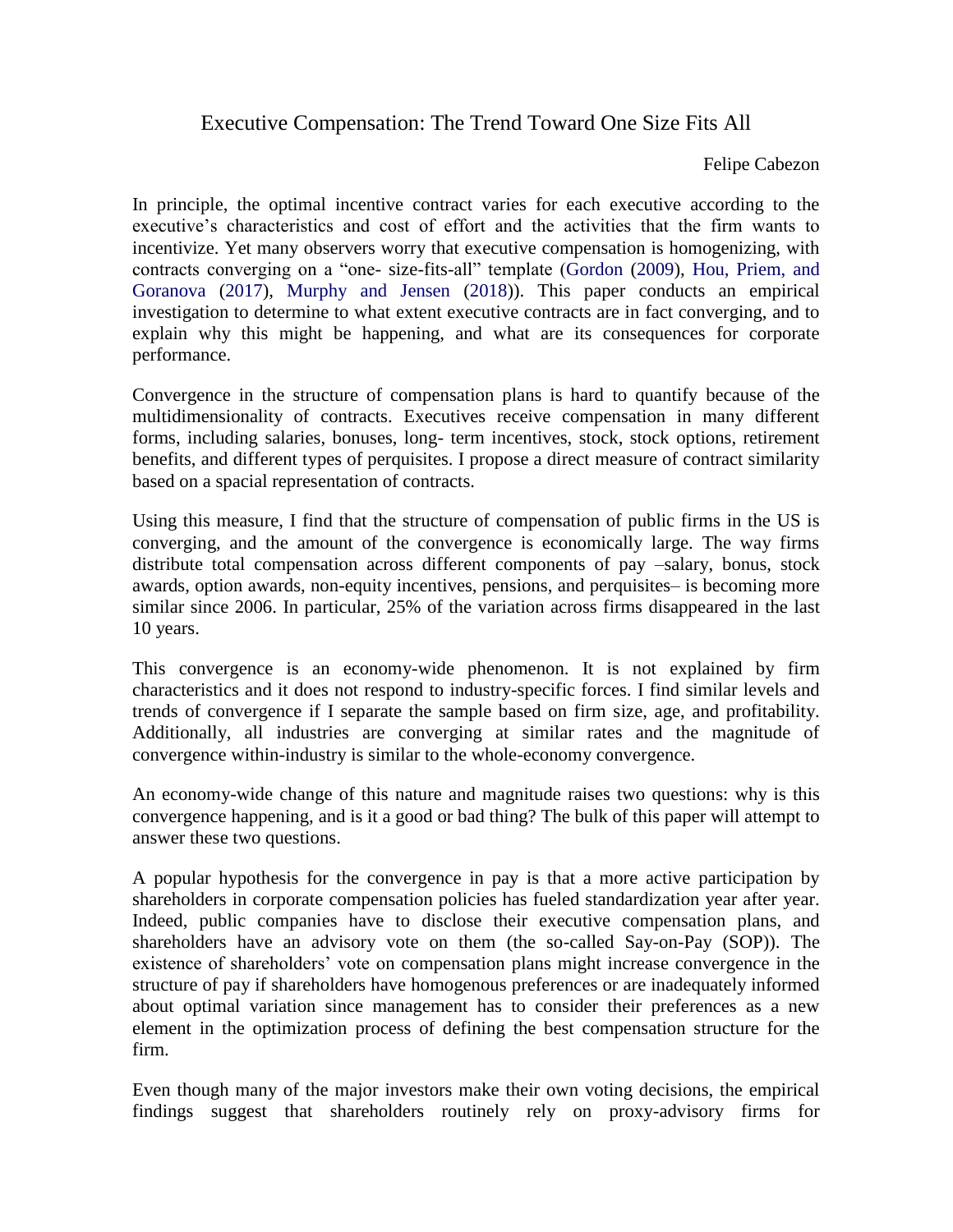## Executive Compensation: The Trend Toward One Size Fits All

Felipe Cabezon

In principle, the optimal incentive contract varies for each executive according to the executive's characteristics and cost of effort and the activities that the firm wants to incentivize. Yet many observers worry that executive compensation is homogenizing, with contracts converging on a "one- size-fits-all" template (Gordon (2009), Hou, Priem, and Goranova (2017), Murphy and Jensen (2018)). This paper conducts an empirical investigation to determine to what extent executive contracts are in fact converging, and to explain why this might be happening, and what are its consequences for corporate performance.

Convergence in the structure of compensation plans is hard to quantify because of the multidimensionality of contracts. Executives receive compensation in many different forms, including salaries, bonuses, long- term incentives, stock, stock options, retirement benefits, and different types of perquisites. I propose a direct measure of contract similarity based on a spacial representation of contracts.

Using this measure, I find that the structure of compensation of public firms in the US is converging, and the amount of the convergence is economically large. The way firms distribute total compensation across different components of pay –salary, bonus, stock awards, option awards, non-equity incentives, pensions, and perquisites– is becoming more similar since 2006. In particular, 25% of the variation across firms disappeared in the last 10 years.

This convergence is an economy-wide phenomenon. It is not explained by firm characteristics and it does not respond to industry-specific forces. I find similar levels and trends of convergence if I separate the sample based on firm size, age, and profitability. Additionally, all industries are converging at similar rates and the magnitude of convergence within-industry is similar to the whole-economy convergence.

An economy-wide change of this nature and magnitude raises two questions: why is this convergence happening, and is it a good or bad thing? The bulk of this paper will attempt to answer these two questions.

A popular hypothesis for the convergence in pay is that a more active participation by shareholders in corporate compensation policies has fueled standardization year after year. Indeed, public companies have to disclose their executive compensation plans, and shareholders have an advisory vote on them (the so-called Say-on-Pay (SOP)). The existence of shareholders' vote on compensation plans might increase convergence in the structure of pay if shareholders have homogenous preferences or are inadequately informed about optimal variation since management has to consider their preferences as a new element in the optimization process of defining the best compensation structure for the firm.

Even though many of the major investors make their own voting decisions, the empirical findings suggest that shareholders routinely rely on proxy-advisory firms for